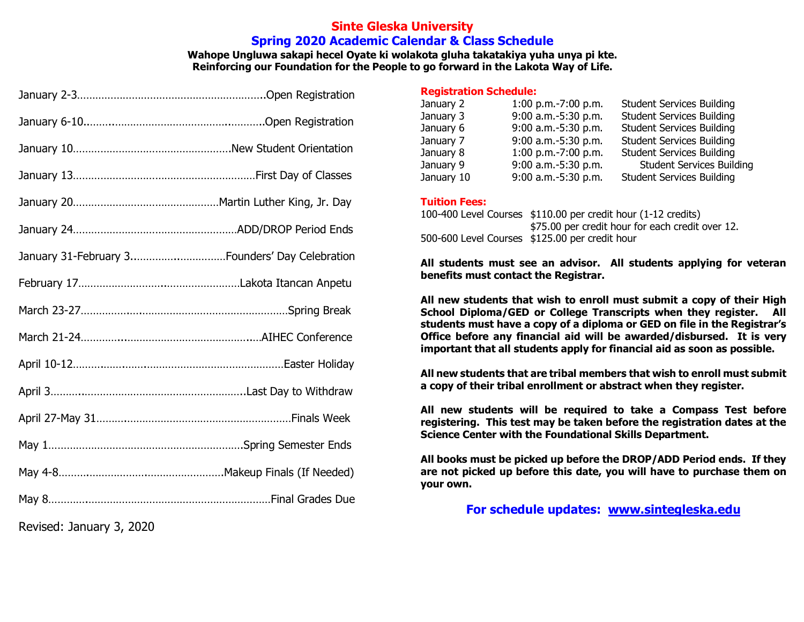#### **Sinte Gleska University Spring 2020 Academic Calendar & Class Schedule**

**Wahope Ungluwa sakapi hecel Oyate ki wolakota gluha takatakiya yuha unya pi kte. Reinforcing our Foundation for the People to go forward in the Lakota Way of Life.**

| Revised: January 3, 2020 |  |
|--------------------------|--|

#### **Registration Schedule:**

| January 2  | 1:00 p.m.-7:00 p.m. | <b>Student Services Building</b> |
|------------|---------------------|----------------------------------|
| January 3  | 9:00 a.m.-5:30 p.m. | <b>Student Services Building</b> |
| January 6  | 9:00 a.m.-5:30 p.m. | <b>Student Services Building</b> |
| January 7  | 9:00 a.m.-5:30 p.m. | <b>Student Services Building</b> |
| January 8  | 1:00 p.m.-7:00 p.m. | <b>Student Services Building</b> |
| January 9  | 9:00 a.m.-5:30 p.m. | <b>Student Services Building</b> |
| January 10 | 9:00 a.m.-5:30 p.m. | <b>Student Services Building</b> |

#### **Tuition Fees:**

100-400 Level Courses \$110.00 per credit hour (1-12 credits) \$75.00 per credit hour for each credit over 12. 500-600 Level Courses \$125.00 per credit hour

**All students must see an advisor. All students applying for veteran benefits must contact the Registrar.**

**All new students that wish to enroll must submit a copy of their High School Diploma/GED or College Transcripts when they register. All students must have a copy of a diploma or GED on file in the Registrar's Office before any financial aid will be awarded/disbursed. It is very important that all students apply for financial aid as soon as possible.**

**All new students that are tribal members that wish to enroll must submit a copy of their tribal enrollment or abstract when they register.**

**All new students will be required to take a Compass Test before registering. This test may be taken before the registration dates at the Science Center with the Foundational Skills Department.**

**All books must be picked up before the DROP/ADD Period ends. If they are not picked up before this date, you will have to purchase them on your own.**

**For schedule updates: www.sintegleska.edu**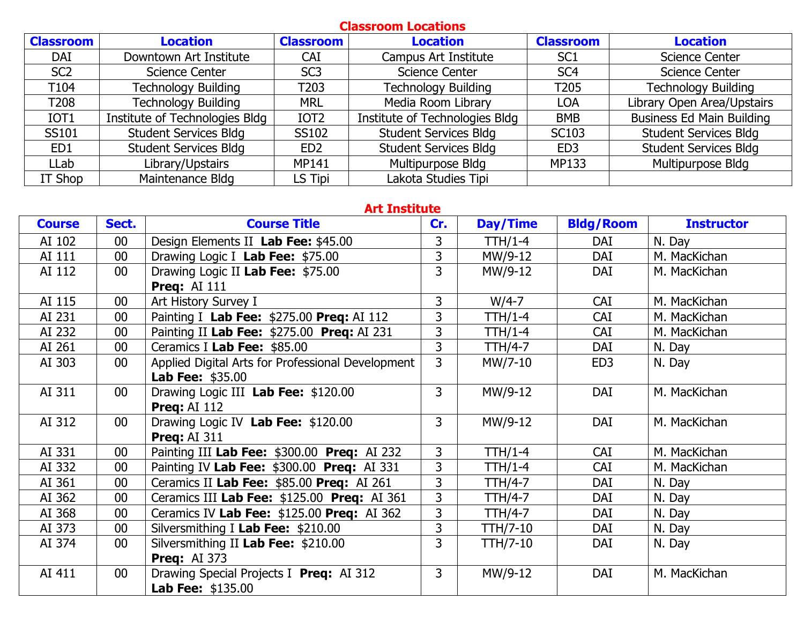## **Classroom Locations Classroom Location Classroom Location Classroom Location** DAI Downtown Art Institute | CAI | Campus Art Institute | SC1 | Science Center SC2 Science Center SC3 Science Center SC4 Science Center T104 Technology Building T203 Technology Building T205 Technology Building T208 Technology Building | MRL | Media Room Library | LOA | Library Open Area/Upstairs IOT1 | Institute of Technologies Bldg | IOT2 | Institute of Technologies Bldg | BMB | Business Ed Main Building SS101 Student Services Bldg SS102 Student Services Bldg SC103 Student Services Bldg ED1 | Student Services Bldg | ED2 | Student Services Bldg | ED3 | Student Services Bldg LLab | Library/Upstairs | MP141 | Multipurpose Bldg | MP133 | Multipurpose Bldg IT Shop Maintenance Bldg | LS Tipi | Lakota Studies Tipi

#### **Art Institute**

| <b>Course</b> | Sect.           | <b>Course Title</b>                               | Cr.            | Day/Time       | <b>Bldg/Room</b> | <b>Instructor</b> |
|---------------|-----------------|---------------------------------------------------|----------------|----------------|------------------|-------------------|
| AI 102        | $00\,$          | Design Elements II Lab Fee: \$45.00               | 3              | TTH/1-4        | <b>DAI</b>       | N. Day            |
| AI 111        | $00\,$          | Drawing Logic I Lab Fee: \$75.00                  | 3              | MW/9-12        | DAI              | M. MacKichan      |
| AI 112        | 00 <sub>0</sub> | Drawing Logic II Lab Fee: \$75.00                 | $\overline{3}$ | MW/9-12        | DAI              | M. MacKichan      |
|               |                 | <b>Preq: AI 111</b>                               |                |                |                  |                   |
| AI 115        | 00              | Art History Survey I                              | 3              | $W/4-7$        | CAI              | M. MacKichan      |
| AI 231        | 00              | Painting I Lab Fee: \$275.00 Preq: AI 112         | 3              | <b>TTH/1-4</b> | <b>CAI</b>       | M. MacKichan      |
| AI 232        | 00              | Painting II Lab Fee: \$275.00 Preq: AI 231        | 3              | <b>TTH/1-4</b> | <b>CAI</b>       | M. MacKichan      |
| AI 261        | 00              | Ceramics I Lab Fee: \$85.00                       | $\overline{3}$ | <b>TTH/4-7</b> | DAI              | N. Day            |
| AI 303        | 00 <sub>0</sub> | Applied Digital Arts for Professional Development | $\overline{3}$ | MW/7-10        | ED <sub>3</sub>  | N. Day            |
|               |                 | <b>Lab Fee: \$35.00</b>                           |                |                |                  |                   |
| AI 311        | $00\,$          | Drawing Logic III Lab Fee: \$120.00               | 3              | MW/9-12        | DAI              | M. MacKichan      |
|               |                 | <b>Preg: AI 112</b>                               |                |                |                  |                   |
| AI 312        | 00 <sub>0</sub> | Drawing Logic IV Lab Fee: \$120.00                | $\overline{3}$ | MW/9-12        | DAI              | M. MacKichan      |
|               |                 | <b>Preq: AI 311</b>                               |                |                |                  |                   |
| AI 331        | 00 <sub>0</sub> | Painting III Lab Fee: \$300.00 Preq: AI 232       | $\mathsf{3}$   | TTH/1-4        | <b>CAI</b>       | M. MacKichan      |
| AI 332        | $00\,$          | Painting IV Lab Fee: \$300.00 Preq: AI 331        | 3              | TTH/1-4        | <b>CAI</b>       | M. MacKichan      |
| AI 361        | 00              | Ceramics II Lab Fee: \$85.00 Preq: AI 261         | 3              | TTH/4-7        | DAI              | N. Day            |
| AI 362        | 00 <sub>0</sub> | Ceramics III Lab Fee: \$125.00 Preq: AI 361       | 3              | <b>TTH/4-7</b> | DAI              | N. Day            |
| AI 368        | 00              | Ceramics IV Lab Fee: \$125.00 Preq: AI 362        | 3              | <b>TTH/4-7</b> | DAI              | N. Day            |
| AI 373        | 00              | Silversmithing I Lab Fee: \$210.00                | 3              | TTH/7-10       | DAI              | N. Day            |
| AI 374        | 00 <sub>0</sub> | Silversmithing II Lab Fee: \$210.00               | $\overline{3}$ | TTH/7-10       | DAI              | N. Day            |
|               |                 | <b>Preg: AI 373</b>                               |                |                |                  |                   |
| AI 411        | $00\,$          | Drawing Special Projects I Preq: AI 312           | $\mathbf{3}$   | MW/9-12        | DAI              | M. MacKichan      |
|               |                 | <b>Lab Fee: \$135.00</b>                          |                |                |                  |                   |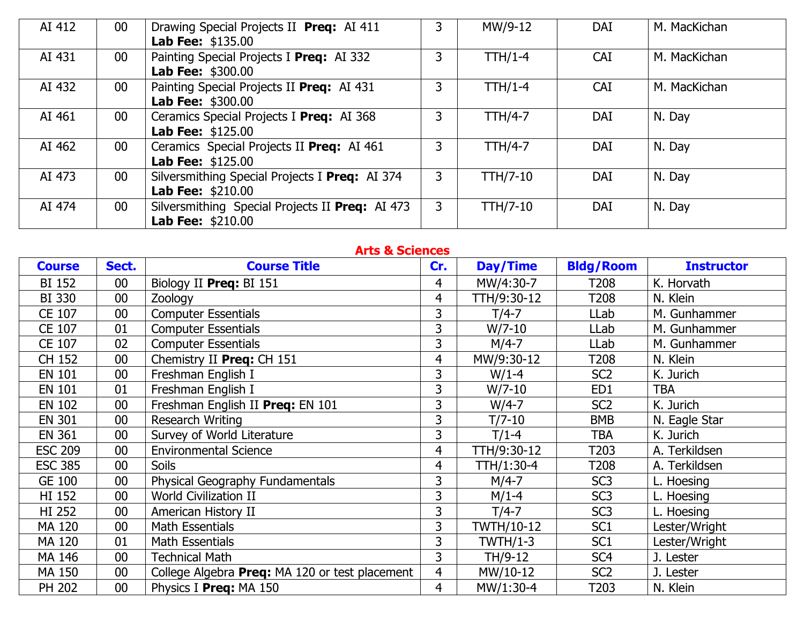| AI 412 | $00\,$ | Drawing Special Projects II Preq: AI 411<br><b>Lab Fee: \$135.00</b>        | 3 | MW/9-12         | DAI        | M. MacKichan |
|--------|--------|-----------------------------------------------------------------------------|---|-----------------|------------|--------------|
| AI 431 | 00     | Painting Special Projects I Preq: AI 332<br><b>Lab Fee: \$300.00</b>        |   | $TH/1-4$        | <b>CAI</b> | M. MacKichan |
| AI 432 | $00\,$ | Painting Special Projects II Preq: AI 431<br><b>Lab Fee: \$300.00</b>       | 3 | $TH/1-4$        | <b>CAI</b> | M. MacKichan |
| AI 461 | $00\,$ | Ceramics Special Projects I Preq: AI 368<br><b>Lab Fee: \$125.00</b>        | 3 | $TTH/4-7$       | <b>DAI</b> | N. Day       |
| AI 462 | 00     | Ceramics Special Projects II Preq: AI 461<br><b>Lab Fee: \$125.00</b>       | 3 | $TTH/4-7$       | <b>DAI</b> | N. Day       |
| AI 473 | 00     | Silversmithing Special Projects I Preq: AI 374<br><b>Lab Fee: \$210.00</b>  | 3 | <b>TTH/7-10</b> | <b>DAI</b> | N. Day       |
| AI 474 | 00     | Silversmithing Special Projects II Preq: AI 473<br><b>Lab Fee: \$210.00</b> | 3 | $TH/7-10$       | <b>DAI</b> | N. Day       |

| <b>Arts &amp; Sciences</b> |        |                                                |                |                   |                  |                   |  |  |  |
|----------------------------|--------|------------------------------------------------|----------------|-------------------|------------------|-------------------|--|--|--|
| <b>Course</b>              | Sect.  | <b>Course Title</b>                            | Cr.            | Day/Time          | <b>Bldg/Room</b> | <b>Instructor</b> |  |  |  |
| <b>BI 152</b>              | 00     | Biology II Preg: BI 151                        | 4              | MW/4:30-7         | T208             | K. Horvath        |  |  |  |
| BI 330                     | 00     | <b>Zoology</b>                                 | 4              | TTH/9:30-12       | T208             | N. Klein          |  |  |  |
| CE 107                     | 00     | <b>Computer Essentials</b>                     | 3              | $T/4-7$           | LLab             | M. Gunhammer      |  |  |  |
| CE 107                     | 01     | <b>Computer Essentials</b>                     | 3              | $W/7-10$          | LLab             | M. Gunhammer      |  |  |  |
| CE 107                     | 02     | <b>Computer Essentials</b>                     | 3              | $M/4-7$           | LLab             | M. Gunhammer      |  |  |  |
| CH 152                     | 00     | Chemistry II Preq: CH 151                      | 4              | MW/9:30-12        | T208             | N. Klein          |  |  |  |
| <b>EN 101</b>              | 00     | Freshman English I                             | 3              | $W/1-4$           | SC <sub>2</sub>  | K. Jurich         |  |  |  |
| <b>EN 101</b>              | 01     | Freshman English I                             | 3              | $W/7-10$          | ED1              | <b>TBA</b>        |  |  |  |
| <b>EN 102</b>              | 00     | Freshman English II Preq: EN 101               | 3              | $W/4-7$           | SC <sub>2</sub>  | K. Jurich         |  |  |  |
| <b>EN 301</b>              | 00     | <b>Research Writing</b>                        | 3              | $T/7-10$          | <b>BMB</b>       | N. Eagle Star     |  |  |  |
| <b>EN 361</b>              | 00     | Survey of World Literature                     | 3              | $T/1-4$           | TBA              | K. Jurich         |  |  |  |
| <b>ESC 209</b>             | 00     | <b>Environmental Science</b>                   | 4              | TTH/9:30-12       | T203             | A. Terkildsen     |  |  |  |
| <b>ESC 385</b>             | 00     | <b>Soils</b>                                   | 4              | TTH/1:30-4        | T208             | A. Terkildsen     |  |  |  |
| <b>GE 100</b>              | 00     | Physical Geography Fundamentals                | 3              | $M/4-7$           | SC <sub>3</sub>  | L. Hoesing        |  |  |  |
| HI 152                     | 00     | <b>World Civilization II</b>                   | 3              | $M/1-4$           | SC <sub>3</sub>  | L. Hoesing        |  |  |  |
| <b>HI 252</b>              | 00     | American History II                            | 3              | $T/4-7$           | SC <sub>3</sub>  | L. Hoesing        |  |  |  |
| MA 120                     | 00     | Math Essentials                                | 3              | <b>TWTH/10-12</b> | SC <sub>1</sub>  | Lester/Wright     |  |  |  |
| <b>MA 120</b>              | 01     | Math Essentials                                | 3              | <b>TWTH/1-3</b>   | SC <sub>1</sub>  | Lester/Wright     |  |  |  |
| MA 146                     | 00     | <b>Technical Math</b>                          | 3              | TH/9-12           | SC <sub>4</sub>  | J. Lester         |  |  |  |
| MA 150                     | 00     | College Algebra Preq: MA 120 or test placement | $\overline{4}$ | MW/10-12          | SC <sub>2</sub>  | J. Lester         |  |  |  |
| <b>PH 202</b>              | $00\,$ | Physics I Preg: MA 150                         | 4              | MW/1:30-4         | T203             | N. Klein          |  |  |  |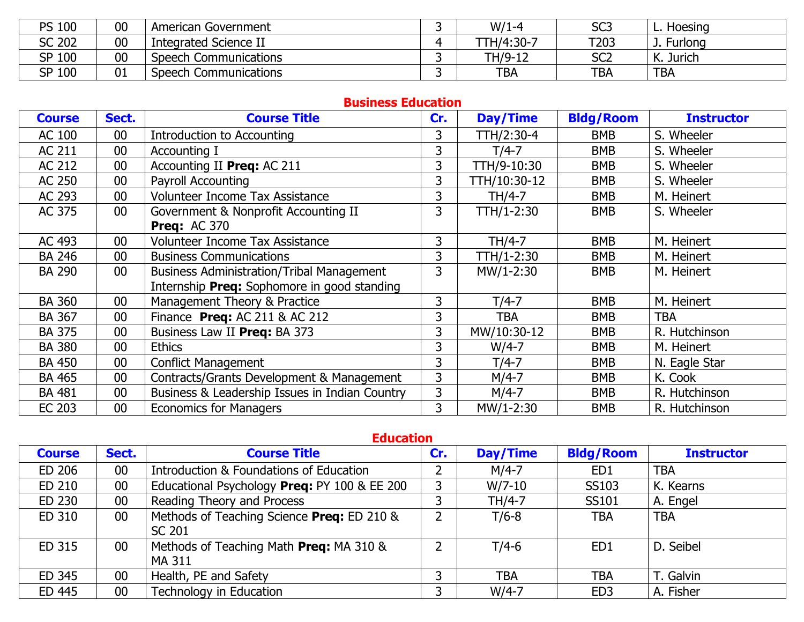| <b>PS 100</b> | 00 | American Government   | $W/1-4$    | SC <sub>3</sub> | Hoesing             |
|---------------|----|-----------------------|------------|-----------------|---------------------|
| <b>SC 202</b> | 00 | Integrated Science II | TTH/4:30-7 | T203            | J. Furlong          |
| SP 100        | 00 | Speech Communications | TH/9-12    | SC <sub>2</sub> | К.<br><b>Jurich</b> |
| SP 100        | 01 | Speech Communications | <b>TBA</b> | <b>TBA</b>      | <b>TBA</b>          |

#### **Business Education**

| <b>Course</b> | Sect.           | <b>Course Title</b>                              | Cr.            | Day/Time     | <b>Bldg/Room</b> | <b>Instructor</b> |
|---------------|-----------------|--------------------------------------------------|----------------|--------------|------------------|-------------------|
| AC 100        | 00              | <b>Introduction to Accounting</b>                | 3              | TTH/2:30-4   | <b>BMB</b>       | S. Wheeler        |
| AC 211        | 00              | Accounting I                                     | $\overline{3}$ | $T/4-7$      | <b>BMB</b>       | S. Wheeler        |
| AC 212        | 00              | Accounting II Preq: AC 211                       | 3              | TTH/9-10:30  | <b>BMB</b>       | S. Wheeler        |
| AC 250        | 00              | <b>Payroll Accounting</b>                        | 3              | TTH/10:30-12 | <b>BMB</b>       | S. Wheeler        |
| AC 293        | 00              | Volunteer Income Tax Assistance                  | $\overline{3}$ | TH/4-7       | <b>BMB</b>       | M. Heinert        |
| AC 375        | 00              | Government & Nonprofit Accounting II             | $\overline{3}$ | TTH/1-2:30   | <b>BMB</b>       | S. Wheeler        |
|               |                 | <b>Preg: AC 370</b>                              |                |              |                  |                   |
| AC 493        | $00\,$          | Volunteer Income Tax Assistance                  | 3              | TH/4-7       | <b>BMB</b>       | M. Heinert        |
| <b>BA 246</b> | 00              | <b>Business Communications</b>                   | 3              | TTH/1-2:30   | <b>BMB</b>       | M. Heinert        |
| <b>BA 290</b> | 00 <sub>0</sub> | <b>Business Administration/Tribal Management</b> | 3              | MW/1-2:30    | <b>BMB</b>       | M. Heinert        |
|               |                 | Internship Preq: Sophomore in good standing      |                |              |                  |                   |
| <b>BA 360</b> | 00              | Management Theory & Practice                     | 3              | $T/4-7$      | <b>BMB</b>       | M. Heinert        |
| <b>BA 367</b> | 00              | Finance Preq: AC 211 & AC 212                    | 3              | <b>TBA</b>   | <b>BMB</b>       | <b>TBA</b>        |
| <b>BA 375</b> | 00              | Business Law II Preg: BA 373                     | 3              | MW/10:30-12  | <b>BMB</b>       | R. Hutchinson     |
| <b>BA 380</b> | 00              | <b>Ethics</b>                                    | 3              | $W/4-7$      | <b>BMB</b>       | M. Heinert        |
| <b>BA 450</b> | 00              | <b>Conflict Management</b>                       | 3              | $T/4-7$      | <b>BMB</b>       | N. Eagle Star     |
| <b>BA 465</b> | 00              | Contracts/Grants Development & Management        | 3              | $M/4-7$      | <b>BMB</b>       | K. Cook           |
| <b>BA 481</b> | $00\,$          | Business & Leadership Issues in Indian Country   | 3              | $M/4-7$      | <b>BMB</b>       | R. Hutchinson     |
| <b>EC 203</b> | $00\,$          | <b>Economics for Managers</b>                    | 3              | MW/1-2:30    | <b>BMB</b>       | R. Hutchinson     |

## **Education**

| <b>Course</b> | Sect.  | <b>Course Title</b>                          | Cr. | <b>Day/Time</b> | <b>Bldg/Room</b> | <b>Instructor</b> |
|---------------|--------|----------------------------------------------|-----|-----------------|------------------|-------------------|
| ED 206        | $00\,$ | Introduction & Foundations of Education      |     | $M/4-7$         | ED <sub>1</sub>  | <b>TBA</b>        |
| ED 210        | $00\,$ | Educational Psychology Preg: PY 100 & EE 200 |     | $W/7-10$        | SS103            | K. Kearns         |
| ED 230        | $00\,$ | Reading Theory and Process                   |     | TH/4-7          | SS101            | A. Engel          |
| ED 310        | $00\,$ | Methods of Teaching Science Preq: ED 210 &   | າ   | $T/6-8$         | <b>TBA</b>       | <b>TBA</b>        |
|               |        | SC 201                                       |     |                 |                  |                   |
| ED 315        | $00\,$ | Methods of Teaching Math Preq: MA 310 &      | ົ   | $T/4-6$         | ED <sub>1</sub>  | D. Seibel         |
|               |        | <b>MA 311</b>                                |     |                 |                  |                   |
| ED 345        | 00     | Health, PE and Safety                        |     | TBA             | <b>TBA</b>       | T. Galvin         |
| ED 445        | $00\,$ | Technology in Education                      |     | $W/4-7$         | ED <sub>3</sub>  | A. Fisher         |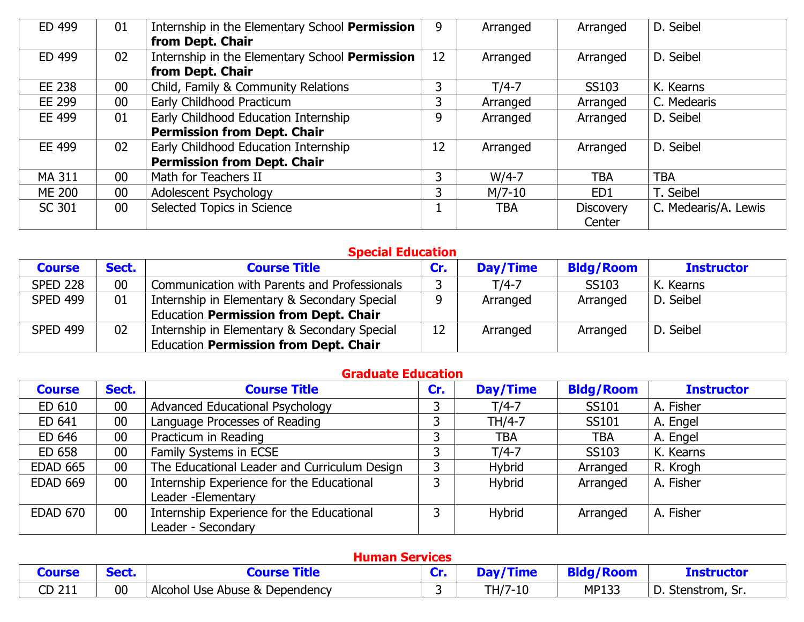| ED 499        | 01     | Internship in the Elementary School Permission<br>from Dept. Chair | 9  | Arranged | Arranged         | D. Seibel            |
|---------------|--------|--------------------------------------------------------------------|----|----------|------------------|----------------------|
| ED 499        | 02     | Internship in the Elementary School Permission<br>from Dept. Chair | 12 | Arranged | Arranged         | D. Seibel            |
| EE 238        | $00\,$ | Child, Family & Community Relations                                | 3  | $T/4-7$  | SS103            | K. Kearns            |
| EE 299        | $00\,$ | Early Childhood Practicum                                          | 3  | Arranged | Arranged         | C. Medearis          |
| EE 499        | 01     | Early Childhood Education Internship                               | 9  | Arranged | Arranged         | D. Seibel            |
|               |        | <b>Permission from Dept. Chair</b>                                 |    |          |                  |                      |
| EE 499        | 02     | Early Childhood Education Internship                               | 12 | Arranged | Arranged         | D. Seibel            |
|               |        | <b>Permission from Dept. Chair</b>                                 |    |          |                  |                      |
| MA 311        | $00\,$ | Math for Teachers II                                               | 3  | $W/4-7$  | <b>TBA</b>       | <b>TBA</b>           |
| <b>ME 200</b> | $00\,$ | Adolescent Psychology                                              | 3  | $M/7-10$ | ED <sub>1</sub>  | T. Seibel            |
| <b>SC 301</b> | $00\,$ | Selected Topics in Science                                         |    | TBA      | <b>Discovery</b> | C. Medearis/A. Lewis |
|               |        |                                                                    |    |          | Center           |                      |

# **Special Education**

| <b>Course</b>   | Sect. | <b>Course Title</b>                          | Cr. | Day/Time | <b>Bldg/Room</b> | <b>Instructor</b> |
|-----------------|-------|----------------------------------------------|-----|----------|------------------|-------------------|
| <b>SPED 228</b> | 00    | Communication with Parents and Professionals |     | $T/4-7$  | SS103            | K. Kearns         |
| <b>SPED 499</b> | 01    | Internship in Elementary & Secondary Special |     | Arranged | Arranged         | D. Seibel         |
|                 |       | Education Permission from Dept. Chair        |     |          |                  |                   |
| <b>SPED 499</b> | 02    | Internship in Elementary & Secondary Special | 12  | Arranged | Arranged         | D. Seibel         |
|                 |       | <b>Education Permission from Dept. Chair</b> |     |          |                  |                   |

# **Graduate Education**

| <b>Course</b>   | Sect.           | <b>Course Title</b>                          | Cr. | <b>Day/Time</b> | <b>Bldg/Room</b> | <b>Instructor</b> |
|-----------------|-----------------|----------------------------------------------|-----|-----------------|------------------|-------------------|
| ED 610          | 00              | Advanced Educational Psychology              |     | $T/4-7$         | SS101            | A. Fisher         |
| ED 641          | 00              | Language Processes of Reading                |     | TH/4-7          | SS101            | A. Engel          |
| ED 646          | $00\,$          | Practicum in Reading                         |     | <b>TBA</b>      | <b>TBA</b>       | A. Engel          |
| ED 658          | $00\,$          | Family Systems in ECSE                       |     | $T/4-7$         | SS103            | K. Kearns         |
| <b>EDAD 665</b> | 00              | The Educational Leader and Curriculum Design | っ   | <b>Hybrid</b>   | Arranged         | R. Krogh          |
| <b>EDAD 669</b> | 00 <sub>0</sub> | Internship Experience for the Educational    |     | <b>Hybrid</b>   | Arranged         | A. Fisher         |
|                 |                 | Leader - Elementary                          |     |                 |                  |                   |
| <b>EDAD 670</b> | 00 <sub>0</sub> | Internship Experience for the Educational    |     | <b>Hybrid</b>   | Arranged         | A. Fisher         |
|                 |                 | Leader - Secondary                           |     |                 |                  |                   |

## **Human Services**

| Course    | <b>Cash</b> | urse                           | a Marco | ---- <i>-</i> | <b>Ankl</b><br>/Room | <u>Instructor</u> |
|-----------|-------------|--------------------------------|---------|---------------|----------------------|-------------------|
| 211<br>CD | 00          | Alcohol Use Abuse & Dependency |         | TH/7-10       | <b>MP133</b>         | D. Stenstrom, Sr. |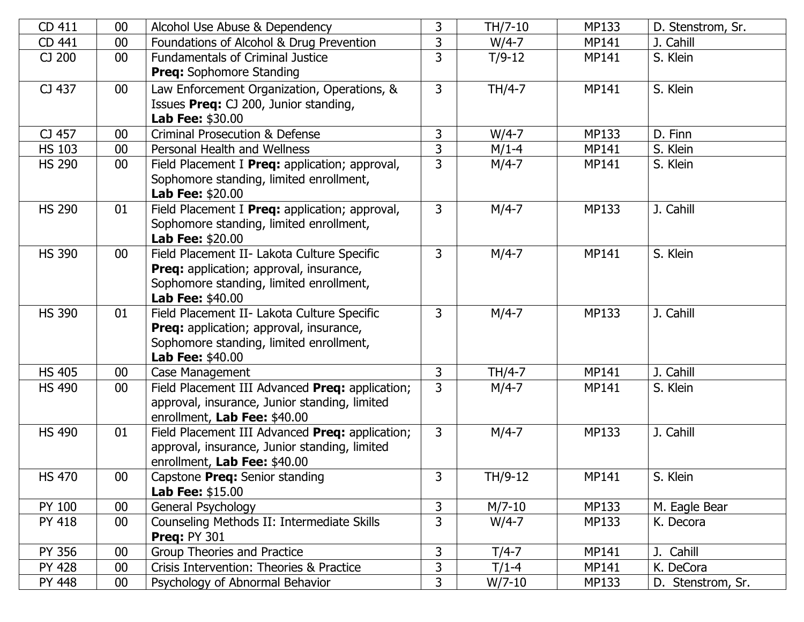| 3<br>$W/4-7$<br>00<br>Foundations of Alcohol & Drug Prevention<br>J. Cahill<br>CD 441<br><b>MP141</b><br>3<br><b>Fundamentals of Criminal Justice</b><br>CJ 200<br>$T/9-12$<br>S. Klein<br>$00\,$<br><b>MP141</b> |  |
|-------------------------------------------------------------------------------------------------------------------------------------------------------------------------------------------------------------------|--|
|                                                                                                                                                                                                                   |  |
|                                                                                                                                                                                                                   |  |
| <b>Preq:</b> Sophomore Standing                                                                                                                                                                                   |  |
| CJ 437<br>3<br>TH/4-7<br>S. Klein<br>$00\,$<br>Law Enforcement Organization, Operations, &<br>MP141                                                                                                               |  |
| Issues Preq: CJ 200, Junior standing,                                                                                                                                                                             |  |
| <b>Lab Fee: \$30.00</b>                                                                                                                                                                                           |  |
| $\overline{3}$<br>CJ 457<br><b>Criminal Prosecution &amp; Defense</b><br>$W/4-7$<br>MP133<br>D. Finn<br>00                                                                                                        |  |
| 3<br><b>HS 103</b><br>Personal Health and Wellness<br>$M/1-4$<br>S. Klein<br>00<br><b>MP141</b>                                                                                                                   |  |
| 3<br>$M/4-7$<br><b>HS 290</b><br>S. Klein<br>$00\,$<br>Field Placement I Preq: application; approval,<br><b>MP141</b>                                                                                             |  |
| Sophomore standing, limited enrollment,                                                                                                                                                                           |  |
| <b>Lab Fee: \$20.00</b>                                                                                                                                                                                           |  |
| $\mathsf{3}$<br><b>HS 290</b><br>$M/4-7$<br>MP133<br>J. Cahill<br>01<br>Field Placement I Preq: application; approval,                                                                                            |  |
| Sophomore standing, limited enrollment,                                                                                                                                                                           |  |
| <b>Lab Fee: \$20.00</b>                                                                                                                                                                                           |  |
| $M/4-7$<br><b>HS 390</b><br>Field Placement II- Lakota Culture Specific<br>3<br><b>MP141</b><br>S. Klein<br>$00\,$                                                                                                |  |
| <b>Preq:</b> application; approval, insurance,                                                                                                                                                                    |  |
| Sophomore standing, limited enrollment,                                                                                                                                                                           |  |
| <b>Lab Fee: \$40.00</b>                                                                                                                                                                                           |  |
| <b>HS 390</b><br>3<br>$M/4-7$<br>Field Placement II- Lakota Culture Specific<br><b>MP133</b><br>J. Cahill<br>01                                                                                                   |  |
| <b>Preq:</b> application; approval, insurance,                                                                                                                                                                    |  |
| Sophomore standing, limited enrollment,                                                                                                                                                                           |  |
| <b>Lab Fee: \$40.00</b>                                                                                                                                                                                           |  |
| $\overline{3}$<br><b>HS 405</b><br>TH/4-7<br>J. Cahill<br><b>MP141</b><br>00<br>Case Management                                                                                                                   |  |
| 3<br>Field Placement III Advanced Preq: application;<br>$M/4-7$<br><b>HS 490</b><br>00<br><b>MP141</b><br>S. Klein                                                                                                |  |
| approval, insurance, Junior standing, limited                                                                                                                                                                     |  |
| enrollment, Lab Fee: \$40.00                                                                                                                                                                                      |  |
| $\mathsf{3}$<br><b>HS 490</b><br>$M/4-7$<br>J. Cahill<br>01<br>Field Placement III Advanced Preq: application;<br>MP133                                                                                           |  |
| approval, insurance, Junior standing, limited                                                                                                                                                                     |  |
| enrollment, Lab Fee: \$40.00<br>S. Klein<br><b>HS 470</b><br>$\mathbf{3}$<br>00                                                                                                                                   |  |
| TH/9-12<br>MP141<br>Capstone Preq: Senior standing<br><b>Lab Fee: \$15.00</b>                                                                                                                                     |  |
| 3<br>PY 100<br>00<br>$M/7-10$<br>MP133<br>M. Eagle Bear<br>General Psychology                                                                                                                                     |  |
| $\overline{3}$<br>Counseling Methods II: Intermediate Skills<br>$W/4-7$<br><b>PY 418</b><br>$00\,$<br>MP133<br>K. Decora                                                                                          |  |
| <b>Preq: PY 301</b>                                                                                                                                                                                               |  |
| 3<br>PY 356<br>00<br>Group Theories and Practice<br>$T/4-7$<br>J. Cahill<br>MP141                                                                                                                                 |  |
| 3<br><b>PY 428</b><br>$00\,$<br>Crisis Intervention: Theories & Practice<br>$T/1-4$<br>MP141<br>K. DeCora                                                                                                         |  |
| $\mathbf{3}$<br>$W/7-10$<br>D. Stenstrom, Sr.<br>PY 448<br>$00\,$<br>Psychology of Abnormal Behavior<br>MP133                                                                                                     |  |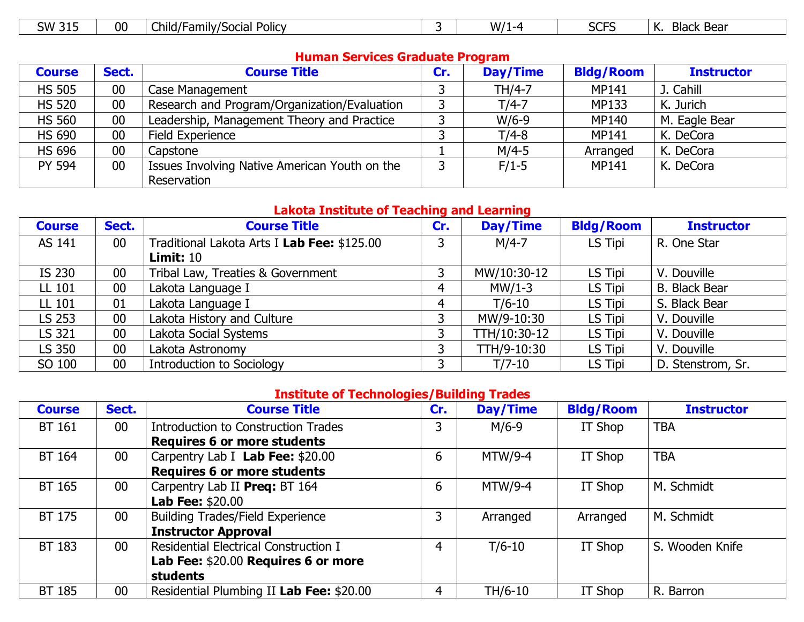| $\sim$<br>W/1<br>21 <sub>E</sub><br><b>SW</b><br>00<br>.<br>. .<br>⌒<br>//Social<br>-<br>ローヘル<br>-17<br>Policy<br>-amily<br>hild/f<br>. | Black Bear<br>'N.<br>ت اتاك<br><u>JIJ</u> |
|-----------------------------------------------------------------------------------------------------------------------------------------|-------------------------------------------|
|-----------------------------------------------------------------------------------------------------------------------------------------|-------------------------------------------|

 $\overline{\mathbb{L}}$ 

## **Human Services Graduate Program**

| <b>Course</b> | Sect.  | <b>Course Title</b>                           | Cr. | Day/Time | <b>Bldg/Room</b> | <b>Instructor</b> |
|---------------|--------|-----------------------------------------------|-----|----------|------------------|-------------------|
| <b>HS 505</b> | $00\,$ | Case Management                               |     | TH/4-7   | <b>MP141</b>     | J. Cahill         |
| <b>HS 520</b> | $00\,$ | Research and Program/Organization/Evaluation  |     | $T/4-7$  | <b>MP133</b>     | K. Jurich         |
| <b>HS 560</b> | $00\,$ | Leadership, Management Theory and Practice    |     | $W/6-9$  | <b>MP140</b>     | M. Eagle Bear     |
| <b>HS 690</b> | 00     | Field Experience                              |     | $T/4-8$  | <b>MP141</b>     | K. DeCora         |
| <b>HS 696</b> | $00\,$ | Capstone                                      |     | $M/4-5$  | Arranged         | K. DeCora         |
| <b>PY 594</b> | $00\,$ | Issues Involving Native American Youth on the |     | $F/1-5$  | <b>MP141</b>     | K. DeCora         |
|               |        | Reservation                                   |     |          |                  |                   |

### **Lakota Institute of Teaching and Learning**

| <b>Course</b> | Sect.           | <b>Course Title</b>                         | Cr. | Day/Time     | <b>Bldg/Room</b> | <b>Instructor</b>    |
|---------------|-----------------|---------------------------------------------|-----|--------------|------------------|----------------------|
| AS 141        | 00 <sub>0</sub> | Traditional Lakota Arts I Lab Fee: \$125.00 | ว.  | $M/4-7$      | LS Tipi          | R. One Star          |
|               |                 | <b>Limit: 10</b>                            |     |              |                  |                      |
| IS 230        | 00              | Tribal Law, Treaties & Government           |     | MW/10:30-12  | LS Tipi          | V. Douville          |
| LL 101        | 00              | Lakota Language I                           |     | $MW/1-3$     | LS Tipi          | <b>B.</b> Black Bear |
| LL 101        | 01              | Lakota Language I                           |     | $T/6-10$     | LS Tipi          | S. Black Bear        |
| LS 253        | 00              | Lakota History and Culture                  | ว   | MW/9-10:30   | LS Tipi          | V. Douville          |
| LS 321        | 00              | Lakota Social Systems                       |     | TTH/10:30-12 | LS Tipi          | V. Douville          |
| LS 350        | 00              | Lakota Astronomy                            |     | TTH/9-10:30  | LS Tipi          | V. Douville          |
| SO 100        | 00              | <b>Introduction to Sociology</b>            |     | $T/7-10$     | LS Tipi          | D. Stenstrom, Sr.    |

# **Institute of Technologies/Building Trades**

| <b>Course</b> | Sect.           | <b>Course Title</b>                      | Cr. | Day/Time   | <b>Bldg/Room</b> | <b>Instructor</b> |
|---------------|-----------------|------------------------------------------|-----|------------|------------------|-------------------|
| <b>BT 161</b> | 00 <sub>0</sub> | Introduction to Construction Trades      | 3   | $M/6-9$    | IT Shop          | <b>TBA</b>        |
|               |                 | <b>Requires 6 or more students</b>       |     |            |                  |                   |
| BT 164        | 00 <sub>0</sub> | Carpentry Lab I Lab Fee: \$20.00         | 6   | $MTW/9-4$  | IT Shop          | <b>TBA</b>        |
|               |                 | <b>Requires 6 or more students</b>       |     |            |                  |                   |
| BT 165        | 00 <sub>0</sub> | Carpentry Lab II Preg: BT 164            | 6   | $MTW/9-4$  | IT Shop          | M. Schmidt        |
|               |                 | <b>Lab Fee: \$20.00</b>                  |     |            |                  |                   |
| BT 175        | 00 <sub>0</sub> | <b>Building Trades/Field Experience</b>  | 3   | Arranged   | Arranged         | M. Schmidt        |
|               |                 | <b>Instructor Approval</b>               |     |            |                  |                   |
| BT 183        | 00 <sub>0</sub> | Residential Electrical Construction I    | 4   | $T/6 - 10$ | IT Shop          | S. Wooden Knife   |
|               |                 | Lab Fee: \$20.00 Requires 6 or more      |     |            |                  |                   |
|               |                 | <b>students</b>                          |     |            |                  |                   |
| <b>BT 185</b> | $00\,$          | Residential Plumbing II Lab Fee: \$20.00 | 4   | TH/6-10    | IT Shop          | R. Barron         |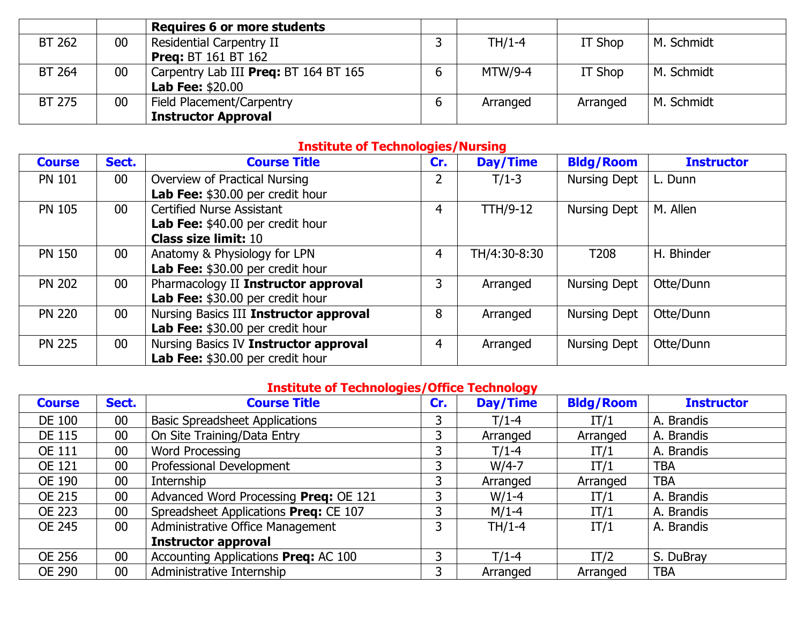|               |    | <b>Requires 6 or more students</b>    |          |          |            |
|---------------|----|---------------------------------------|----------|----------|------------|
| BT 262        | 00 | <b>Residential Carpentry II</b>       | $TH/1-4$ | IT Shop  | M. Schmidt |
|               |    | <b>Preg: BT 161 BT 162</b>            |          |          |            |
| <b>BT 264</b> | 00 | Carpentry Lab III Preg: BT 164 BT 165 | MTW/9-4  | IT Shop  | M. Schmidt |
|               |    | <b>Lab Fee: \$20.00</b>               |          |          |            |
| <b>BT 275</b> | 00 | Field Placement/Carpentry             | Arranged | Arranged | M. Schmidt |
|               |    | <b>Instructor Approval</b>            |          |          |            |

## **Institute of Technologies/Nursing**

| <b>Course</b> | Sect.           | <b>Course Title</b>                    | Cr. | Day/Time        | <b>Bldg/Room</b>    | <b>Instructor</b> |
|---------------|-----------------|----------------------------------------|-----|-----------------|---------------------|-------------------|
| <b>PN 101</b> | 00 <sub>0</sub> | Overview of Practical Nursing          |     | $T/1-3$         | Nursing Dept        | L. Dunn           |
|               |                 | Lab Fee: \$30.00 per credit hour       |     |                 |                     |                   |
| <b>PN 105</b> | 00 <sub>0</sub> | <b>Certified Nurse Assistant</b>       | 4   | <b>TTH/9-12</b> | Nursing Dept        | M. Allen          |
|               |                 | Lab Fee: \$40.00 per credit hour       |     |                 |                     |                   |
|               |                 | <b>Class size limit: 10</b>            |     |                 |                     |                   |
| <b>PN 150</b> | $00\,$          | Anatomy & Physiology for LPN           | 4   | TH/4:30-8:30    | T <sub>208</sub>    | H. Bhinder        |
|               |                 | Lab Fee: \$30.00 per credit hour       |     |                 |                     |                   |
| <b>PN 202</b> | 00 <sub>0</sub> | Pharmacology II Instructor approval    | 3   | Arranged        | Nursing Dept        | Otte/Dunn         |
|               |                 | Lab Fee: \$30.00 per credit hour       |     |                 |                     |                   |
| <b>PN 220</b> | 00 <sub>0</sub> | Nursing Basics III Instructor approval | 8   | Arranged        | <b>Nursing Dept</b> | Otte/Dunn         |
|               |                 | Lab Fee: \$30.00 per credit hour       |     |                 |                     |                   |
| <b>PN 225</b> | 00 <sub>0</sub> | Nursing Basics IV Instructor approval  | 4   | Arranged        | <b>Nursing Dept</b> | Otte/Dunn         |
|               |                 | Lab Fee: \$30.00 per credit hour       |     |                 |                     |                   |

# **Institute of Technologies/Office Technology**

| <b>Course</b> | Sect. | <b>Course Title</b>                   | Cr. | Day/Time | <b>Bldg/Room</b> | <b>Instructor</b> |
|---------------|-------|---------------------------------------|-----|----------|------------------|-------------------|
| <b>DE 100</b> | 00    | <b>Basic Spreadsheet Applications</b> |     | $T/1-4$  | IT/1             | A. Brandis        |
| <b>DE 115</b> | 00    | On Site Training/Data Entry           | 3   | Arranged | Arranged         | A. Brandis        |
| <b>OE 111</b> | 00    | <b>Word Processing</b>                | 3   | $T/1-4$  | IT/1             | A. Brandis        |
| <b>OE 121</b> | 00    | Professional Development              | 3   | $W/4-7$  | IT/1             | <b>TBA</b>        |
| <b>OE 190</b> | 00    | Internship                            | 3   | Arranged | Arranged         | <b>TBA</b>        |
| <b>OE 215</b> | 00    | Advanced Word Processing Preq: OE 121 |     | $W/1-4$  | IT/1             | A. Brandis        |
| <b>OE 223</b> | 00    | Spreadsheet Applications Preq: CE 107 | 3   | $M/1-4$  | IT/1             | A. Brandis        |
| <b>OE 245</b> | 00    | Administrative Office Management      | 3   | $TH/1-4$ | IT/1             | A. Brandis        |
|               |       | <b>Instructor approval</b>            |     |          |                  |                   |
| <b>OE 256</b> | 00    | Accounting Applications Preq: AC 100  | 3   | $T/1-4$  | IT/2             | S. DuBray         |
| <b>OE 290</b> | 00    | Administrative Internship             | 3   | Arranged | Arranged         | <b>TBA</b>        |